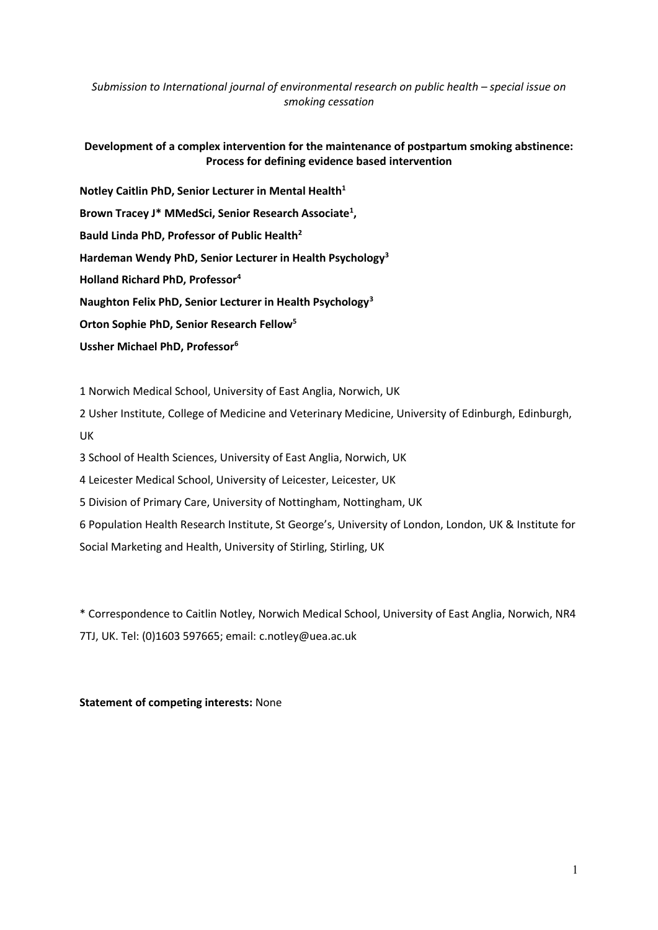*Submission to International journal of environmental research on public health – special issue on smoking cessation*

# **Development of a complex intervention for the maintenance of postpartum smoking abstinence: Process for defining evidence based intervention**

**Notley Caitlin PhD, Senior Lecturer in Mental Health<sup>1</sup> Brown Tracey J\* MMedSci, Senior Research Associate<sup>1</sup> , Bauld Linda PhD, Professor of Public Health<sup>2</sup> Hardeman Wendy PhD, Senior Lecturer in Health Psychology<sup>3</sup> Holland Richard PhD, Professor<sup>4</sup> Naughton Felix PhD, Senior Lecturer in Health Psychology<sup>3</sup> Orton Sophie PhD, Senior Research Fellow<sup>5</sup> Ussher Michael PhD, Professor<sup>6</sup>**

1 Norwich Medical School, University of East Anglia, Norwich, UK

2 Usher Institute, College of Medicine and Veterinary Medicine, University of Edinburgh, Edinburgh, UK

3 School of Health Sciences, University of East Anglia, Norwich, UK

4 Leicester Medical School, University of Leicester, Leicester, UK

5 Division of Primary Care, University of Nottingham, Nottingham, UK

6 Population Health Research Institute, St George's, University of London, London, UK & Institute for Social Marketing and Health, University of Stirling, Stirling, UK

\* Correspondence to Caitlin Notley, Norwich Medical School, University of East Anglia, Norwich, NR4 7TJ, UK. Tel: (0)1603 597665; email: c.notley@uea.ac.uk

## **Statement of competing interests:** None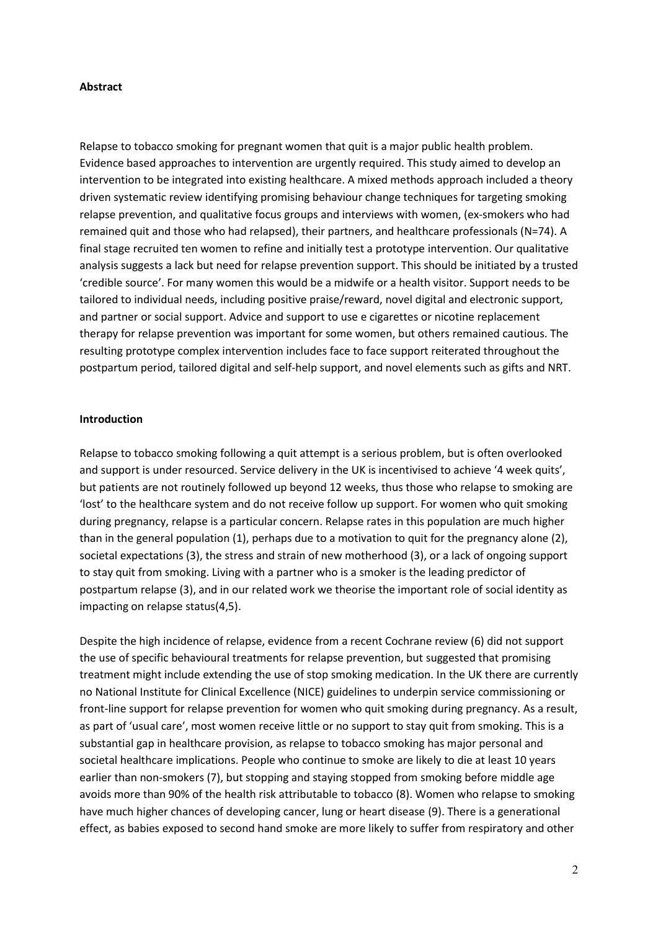#### **Abstract**

Relapse to tobacco smoking for pregnant women that quit is a major public health problem. Evidence based approaches to intervention are urgently required. This study aimed to develop an intervention to be integrated into existing healthcare. A mixed methods approach included a theory driven systematic review identifying promising behaviour change techniques for targeting smoking relapse prevention, and qualitative focus groups and interviews with women, (ex-smokers who had remained quit and those who had relapsed), their partners, and healthcare professionals (N=74). A final stage recruited ten women to refine and initially test a prototype intervention. Our qualitative analysis suggests a lack but need for relapse prevention support. This should be initiated by a trusted 'credible source'. For many women this would be a midwife or a health visitor. Support needs to be tailored to individual needs, including positive praise/reward, novel digital and electronic support, and partner or social support. Advice and support to use e cigarettes or nicotine replacement therapy for relapse prevention was important for some women, but others remained cautious. The resulting prototype complex intervention includes face to face support reiterated throughout the postpartum period, tailored digital and self-help support, and novel elements such as gifts and NRT.

#### **Introduction**

Relapse to tobacco smoking following a quit attempt is a serious problem, but is often overlooked and support is under resourced. Service delivery in the UK is incentivised to achieve '4 week quits', but patients are not routinely followed up beyond 12 weeks, thus those who relapse to smoking are 'lost' to the healthcare system and do not receive follow up support. For women who quit smoking during pregnancy, relapse is a particular concern. Relapse rates in this population are much higher than in the general population (1), perhaps due to a motivation to quit for the pregnancy alone (2), societal expectations (3), the stress and strain of new motherhood (3), or a lack of ongoing support to stay quit from smoking. Living with a partner who is a smoker is the leading predictor of postpartum relapse (3), and in our related work we theorise the important role of social identity as impacting on relapse status(4,5).

Despite the high incidence of relapse, evidence from a recent Cochrane review (6) did not support the use of specific behavioural treatments for relapse prevention, but suggested that promising treatment might include extending the use of stop smoking medication. In the UK there are currently no National Institute for Clinical Excellence (NICE) guidelines to underpin service commissioning or front-line support for relapse prevention for women who quit smoking during pregnancy. As a result, as part of 'usual care', most women receive little or no support to stay quit from smoking. This is a substantial gap in healthcare provision, as relapse to tobacco smoking has major personal and societal healthcare implications. People who continue to smoke are likely to die at least 10 years earlier than non-smokers (7), but stopping and staying stopped from smoking before middle age avoids more than 90% of the health risk attributable to tobacco (8). Women who relapse to smoking have much higher chances of developing cancer, lung or heart disease (9). There is a generational effect, as babies exposed to second hand smoke are more likely to suffer from respiratory and other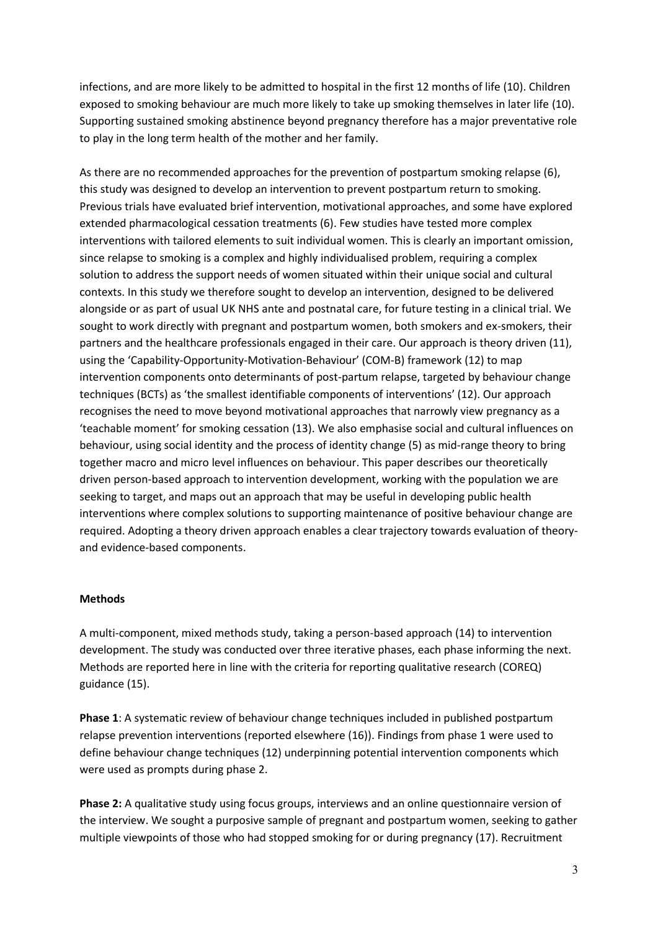infections, and are more likely to be admitted to hospital in the first 12 months of life (10). Children exposed to smoking behaviour are much more likely to take up smoking themselves in later life (10). Supporting sustained smoking abstinence beyond pregnancy therefore has a major preventative role to play in the long term health of the mother and her family.

As there are no recommended approaches for the prevention of postpartum smoking relapse (6), this study was designed to develop an intervention to prevent postpartum return to smoking. Previous trials have evaluated brief intervention, motivational approaches, and some have explored extended pharmacological cessation treatments (6). Few studies have tested more complex interventions with tailored elements to suit individual women. This is clearly an important omission, since relapse to smoking is a complex and highly individualised problem, requiring a complex solution to address the support needs of women situated within their unique social and cultural contexts. In this study we therefore sought to develop an intervention, designed to be delivered alongside or as part of usual UK NHS ante and postnatal care, for future testing in a clinical trial. We sought to work directly with pregnant and postpartum women, both smokers and ex-smokers, their partners and the healthcare professionals engaged in their care. Our approach is theory driven (11), using the 'Capability-Opportunity-Motivation-Behaviour' (COM-B) framework (12) to map intervention components onto determinants of post-partum relapse, targeted by behaviour change techniques (BCTs) as 'the smallest identifiable components of interventions' (12). Our approach recognises the need to move beyond motivational approaches that narrowly view pregnancy as a 'teachable moment' for smoking cessation (13). We also emphasise social and cultural influences on behaviour, using social identity and the process of identity change (5) as mid-range theory to bring together macro and micro level influences on behaviour. This paper describes our theoretically driven person-based approach to intervention development, working with the population we are seeking to target, and maps out an approach that may be useful in developing public health interventions where complex solutions to supporting maintenance of positive behaviour change are required. Adopting a theory driven approach enables a clear trajectory towards evaluation of theoryand evidence-based components.

## **Methods**

A multi-component, mixed methods study, taking a person-based approach (14) to intervention development. The study was conducted over three iterative phases, each phase informing the next. Methods are reported here in line with the criteria for reporting qualitative research (COREQ) guidance (15).

**Phase 1**: A systematic review of behaviour change techniques included in published postpartum relapse prevention interventions (reported elsewhere (16)). Findings from phase 1 were used to define behaviour change techniques (12) underpinning potential intervention components which were used as prompts during phase 2.

**Phase 2:** A qualitative study using focus groups, interviews and an online questionnaire version of the interview. We sought a purposive sample of pregnant and postpartum women, seeking to gather multiple viewpoints of those who had stopped smoking for or during pregnancy (17). Recruitment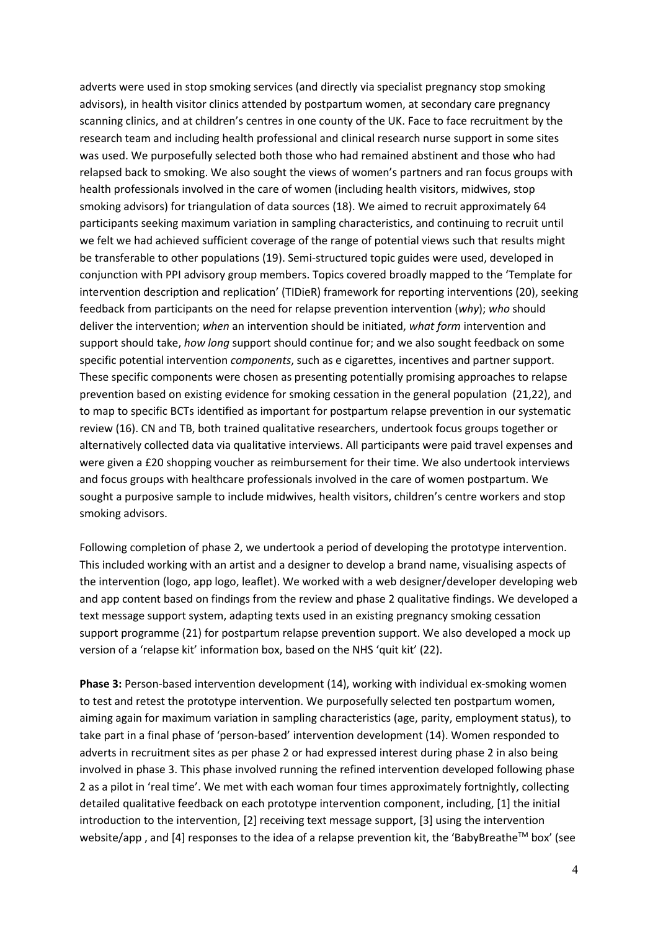adverts were used in stop smoking services (and directly via specialist pregnancy stop smoking advisors), in health visitor clinics attended by postpartum women, at secondary care pregnancy scanning clinics, and at children's centres in one county of the UK. Face to face recruitment by the research team and including health professional and clinical research nurse support in some sites was used. We purposefully selected both those who had remained abstinent and those who had relapsed back to smoking. We also sought the views of women's partners and ran focus groups with health professionals involved in the care of women (including health visitors, midwives, stop smoking advisors) for triangulation of data sources (18). We aimed to recruit approximately 64 participants seeking maximum variation in sampling characteristics, and continuing to recruit until we felt we had achieved sufficient coverage of the range of potential views such that results might be transferable to other populations (19). Semi-structured topic guides were used, developed in conjunction with PPI advisory group members. Topics covered broadly mapped to the 'Template for intervention description and replication' (TIDieR) framework for reporting interventions (20), seeking feedback from participants on the need for relapse prevention intervention (*why*); *who* should deliver the intervention; *when* an intervention should be initiated, *what form* intervention and support should take, *how long* support should continue for; and we also sought feedback on some specific potential intervention *components*, such as e cigarettes, incentives and partner support. These specific components were chosen as presenting potentially promising approaches to relapse prevention based on existing evidence for smoking cessation in the general population (21,22), and to map to specific BCTs identified as important for postpartum relapse prevention in our systematic review (16). CN and TB, both trained qualitative researchers, undertook focus groups together or alternatively collected data via qualitative interviews. All participants were paid travel expenses and were given a £20 shopping voucher as reimbursement for their time. We also undertook interviews and focus groups with healthcare professionals involved in the care of women postpartum. We sought a purposive sample to include midwives, health visitors, children's centre workers and stop smoking advisors.

Following completion of phase 2, we undertook a period of developing the prototype intervention. This included working with an artist and a designer to develop a brand name, visualising aspects of the intervention (logo, app logo, leaflet). We worked with a web designer/developer developing web and app content based on findings from the review and phase 2 qualitative findings. We developed a text message support system, adapting texts used in an existing pregnancy smoking cessation support programme (21) for postpartum relapse prevention support. We also developed a mock up version of a 'relapse kit' information box, based on the NHS 'quit kit' (22).

**Phase 3:** Person-based intervention development (14), working with individual ex-smoking women to test and retest the prototype intervention. We purposefully selected ten postpartum women, aiming again for maximum variation in sampling characteristics (age, parity, employment status), to take part in a final phase of 'person-based' intervention development (14). Women responded to adverts in recruitment sites as per phase 2 or had expressed interest during phase 2 in also being involved in phase 3. This phase involved running the refined intervention developed following phase 2 as a pilot in 'real time'. We met with each woman four times approximately fortnightly, collecting detailed qualitative feedback on each prototype intervention component, including, [1] the initial introduction to the intervention, [2] receiving text message support, [3] using the intervention website/app, and [4] responses to the idea of a relapse prevention kit, the 'BabyBreathe<sup>TM</sup> box' (see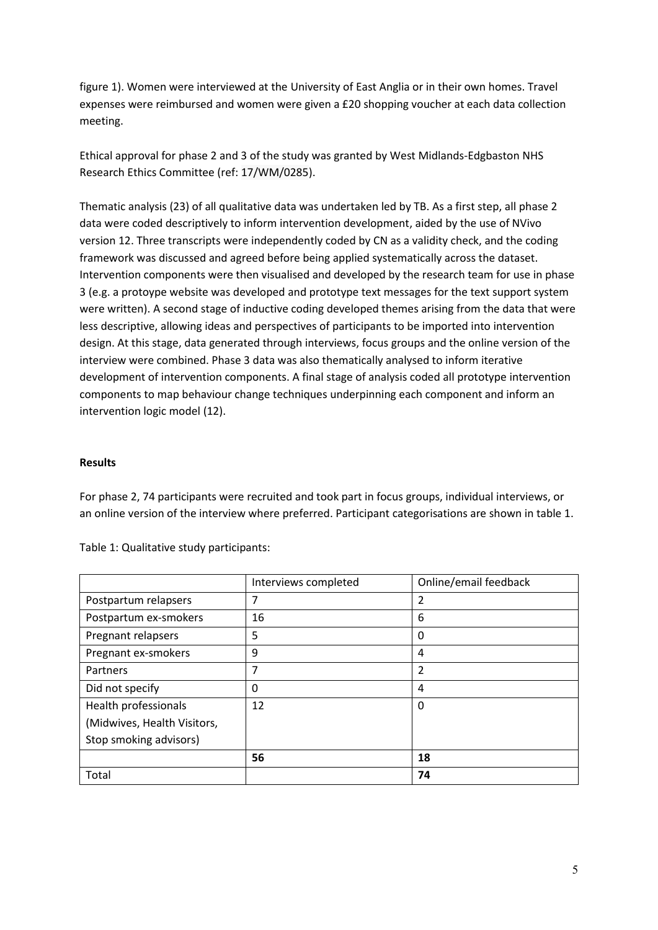figure 1). Women were interviewed at the University of East Anglia or in their own homes. Travel expenses were reimbursed and women were given a £20 shopping voucher at each data collection meeting.

Ethical approval for phase 2 and 3 of the study was granted by West Midlands-Edgbaston NHS Research Ethics Committee (ref: 17/WM/0285).

Thematic analysis (23) of all qualitative data was undertaken led by TB. As a first step, all phase 2 data were coded descriptively to inform intervention development, aided by the use of NVivo version 12. Three transcripts were independently coded by CN as a validity check, and the coding framework was discussed and agreed before being applied systematically across the dataset. Intervention components were then visualised and developed by the research team for use in phase 3 (e.g. a protoype website was developed and prototype text messages for the text support system were written). A second stage of inductive coding developed themes arising from the data that were less descriptive, allowing ideas and perspectives of participants to be imported into intervention design. At this stage, data generated through interviews, focus groups and the online version of the interview were combined. Phase 3 data was also thematically analysed to inform iterative development of intervention components. A final stage of analysis coded all prototype intervention components to map behaviour change techniques underpinning each component and inform an intervention logic model (12).

#### **Results**

For phase 2, 74 participants were recruited and took part in focus groups, individual interviews, or an online version of the interview where preferred. Participant categorisations are shown in table 1.

|                             | Interviews completed | Online/email feedback |
|-----------------------------|----------------------|-----------------------|
| Postpartum relapsers        | 7                    | 2                     |
| Postpartum ex-smokers       | 16                   | 6                     |
| Pregnant relapsers          | 5                    | 0                     |
| Pregnant ex-smokers         | 9                    | 4                     |
| Partners                    | 7                    | 2                     |
| Did not specify             | 0                    | 4                     |
| Health professionals        | 12                   | 0                     |
| (Midwives, Health Visitors, |                      |                       |
| Stop smoking advisors)      |                      |                       |
|                             | 56                   | 18                    |
| Total                       |                      | 74                    |

Table 1: Qualitative study participants: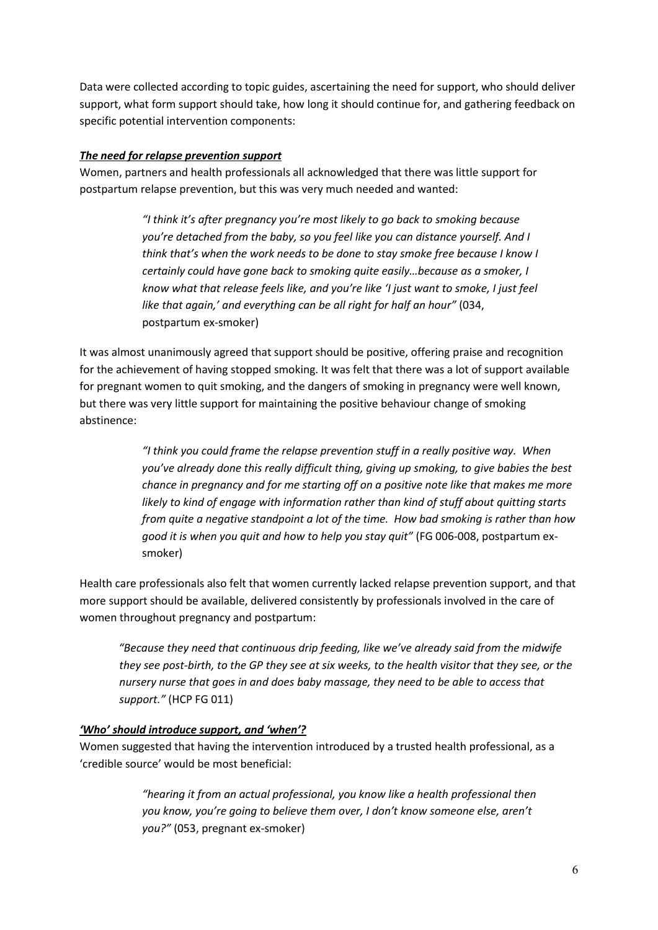Data were collected according to topic guides, ascertaining the need for support, who should deliver support, what form support should take, how long it should continue for, and gathering feedback on specific potential intervention components:

# *The need for relapse prevention support*

Women, partners and health professionals all acknowledged that there was little support for postpartum relapse prevention, but this was very much needed and wanted:

> *"I think it's after pregnancy you're most likely to go back to smoking because you're detached from the baby, so you feel like you can distance yourself. And I think that's when the work needs to be done to stay smoke free because I know I certainly could have gone back to smoking quite easily…because as a smoker, I know what that release feels like, and you're like 'I just want to smoke, I just feel like that again,' and everything can be all right for half an hour"* (034, postpartum ex-smoker)

It was almost unanimously agreed that support should be positive, offering praise and recognition for the achievement of having stopped smoking. It was felt that there was a lot of support available for pregnant women to quit smoking, and the dangers of smoking in pregnancy were well known, but there was very little support for maintaining the positive behaviour change of smoking abstinence:

> *"I think you could frame the relapse prevention stuff in a really positive way. When you've already done this really difficult thing, giving up smoking, to give babies the best chance in pregnancy and for me starting off on a positive note like that makes me more likely to kind of engage with information rather than kind of stuff about quitting starts from quite a negative standpoint a lot of the time. How bad smoking is rather than how good it is when you quit and how to help you stay quit"* (FG 006-008, postpartum exsmoker)

Health care professionals also felt that women currently lacked relapse prevention support, and that more support should be available, delivered consistently by professionals involved in the care of women throughout pregnancy and postpartum:

*"Because they need that continuous drip feeding, like we've already said from the midwife they see post-birth, to the GP they see at six weeks, to the health visitor that they see, or the nursery nurse that goes in and does baby massage, they need to be able to access that support."* (HCP FG 011)

# *'Who' should introduce support, and 'when'?*

Women suggested that having the intervention introduced by a trusted health professional, as a 'credible source' would be most beneficial:

> *"hearing it from an actual professional, you know like a health professional then you know, you're going to believe them over, I don't know someone else, aren't you?"* (053, pregnant ex-smoker)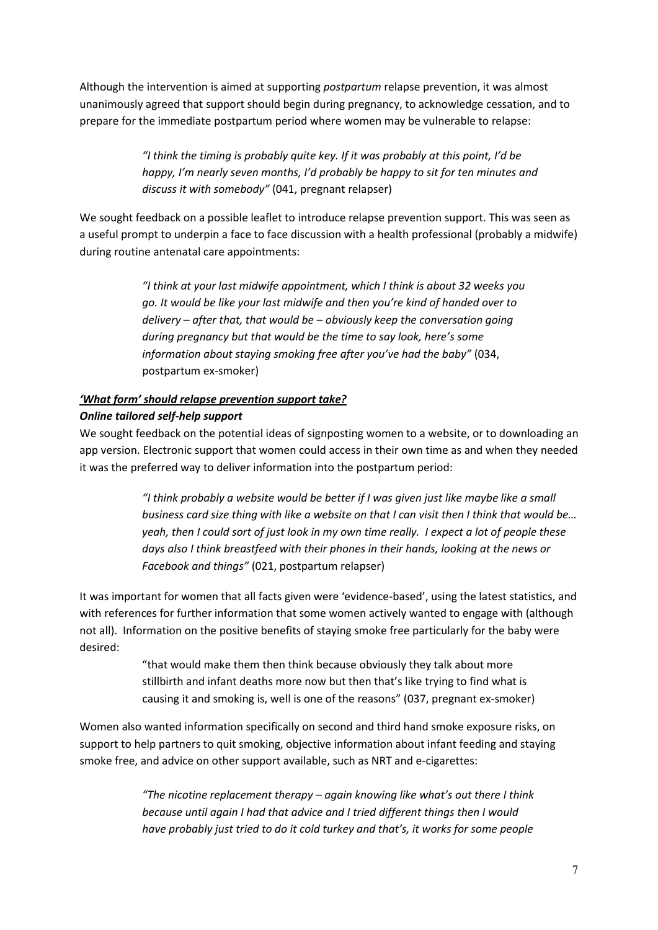Although the intervention is aimed at supporting *postpartum* relapse prevention, it was almost unanimously agreed that support should begin during pregnancy, to acknowledge cessation, and to prepare for the immediate postpartum period where women may be vulnerable to relapse:

> *"I think the timing is probably quite key. If it was probably at this point, I'd be happy, I'm nearly seven months, I'd probably be happy to sit for ten minutes and discuss it with somebody"* (041, pregnant relapser)

We sought feedback on a possible leaflet to introduce relapse prevention support. This was seen as a useful prompt to underpin a face to face discussion with a health professional (probably a midwife) during routine antenatal care appointments:

> *"I think at your last midwife appointment, which I think is about 32 weeks you go. It would be like your last midwife and then you're kind of handed over to delivery – after that, that would be – obviously keep the conversation going during pregnancy but that would be the time to say look, here's some information about staying smoking free after you've had the baby"* (034, postpartum ex-smoker)

# *'What form' should relapse prevention support take? Online tailored self-help support*

We sought feedback on the potential ideas of signposting women to a website, or to downloading an app version. Electronic support that women could access in their own time as and when they needed it was the preferred way to deliver information into the postpartum period:

> *"I think probably a website would be better if I was given just like maybe like a small business card size thing with like a website on that I can visit then I think that would be… yeah, then I could sort of just look in my own time really. I expect a lot of people these days also I think breastfeed with their phones in their hands, looking at the news or Facebook and things"* (021, postpartum relapser)

It was important for women that all facts given were 'evidence-based', using the latest statistics, and with references for further information that some women actively wanted to engage with (although not all). Information on the positive benefits of staying smoke free particularly for the baby were desired:

> "that would make them then think because obviously they talk about more stillbirth and infant deaths more now but then that's like trying to find what is causing it and smoking is, well is one of the reasons" (037, pregnant ex-smoker)

Women also wanted information specifically on second and third hand smoke exposure risks, on support to help partners to quit smoking, objective information about infant feeding and staying smoke free, and advice on other support available, such as NRT and e-cigarettes:

> *"The nicotine replacement therapy – again knowing like what's out there I think because until again I had that advice and I tried different things then I would have probably just tried to do it cold turkey and that's, it works for some people*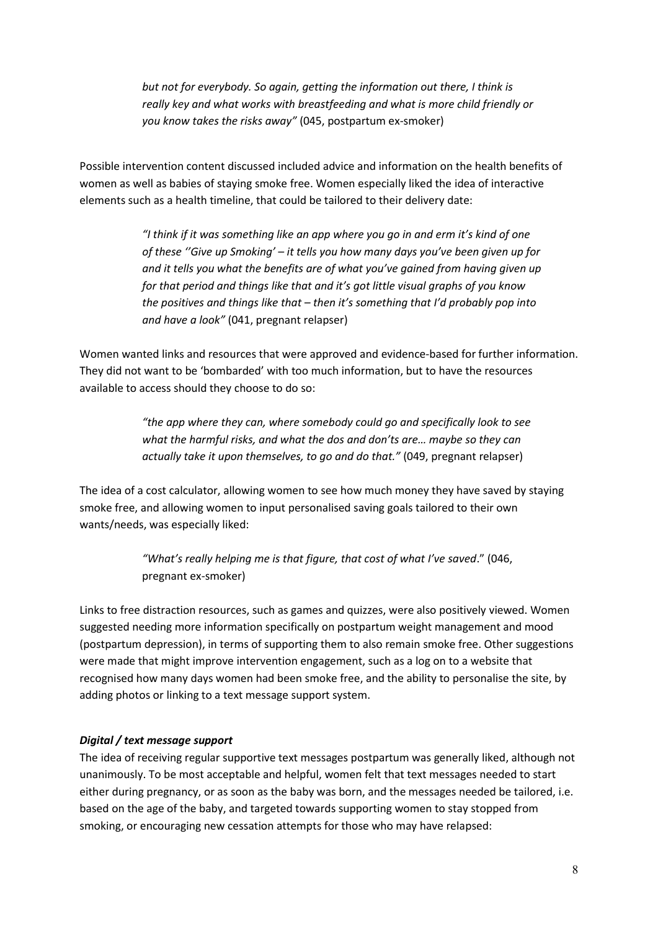*but not for everybody. So again, getting the information out there, I think is really key and what works with breastfeeding and what is more child friendly or you know takes the risks away"* (045, postpartum ex-smoker)

Possible intervention content discussed included advice and information on the health benefits of women as well as babies of staying smoke free. Women especially liked the idea of interactive elements such as a health timeline, that could be tailored to their delivery date:

> *"I think if it was something like an app where you go in and erm it's kind of one of these ''Give up Smoking' – it tells you how many days you've been given up for and it tells you what the benefits are of what you've gained from having given up for that period and things like that and it's got little visual graphs of you know the positives and things like that – then it's something that I'd probably pop into and have a look"* (041, pregnant relapser)

Women wanted links and resources that were approved and evidence-based for further information. They did not want to be 'bombarded' with too much information, but to have the resources available to access should they choose to do so:

> *"the app where they can, where somebody could go and specifically look to see what the harmful risks, and what the dos and don'ts are… maybe so they can actually take it upon themselves, to go and do that."* (049, pregnant relapser)

The idea of a cost calculator, allowing women to see how much money they have saved by staying smoke free, and allowing women to input personalised saving goals tailored to their own wants/needs, was especially liked:

> *"What's really helping me is that figure, that cost of what I've saved*." (046, pregnant ex-smoker)

Links to free distraction resources, such as games and quizzes, were also positively viewed. Women suggested needing more information specifically on postpartum weight management and mood (postpartum depression), in terms of supporting them to also remain smoke free. Other suggestions were made that might improve intervention engagement, such as a log on to a website that recognised how many days women had been smoke free, and the ability to personalise the site, by adding photos or linking to a text message support system.

## *Digital / text message support*

The idea of receiving regular supportive text messages postpartum was generally liked, although not unanimously. To be most acceptable and helpful, women felt that text messages needed to start either during pregnancy, or as soon as the baby was born, and the messages needed be tailored, i.e. based on the age of the baby, and targeted towards supporting women to stay stopped from smoking, or encouraging new cessation attempts for those who may have relapsed: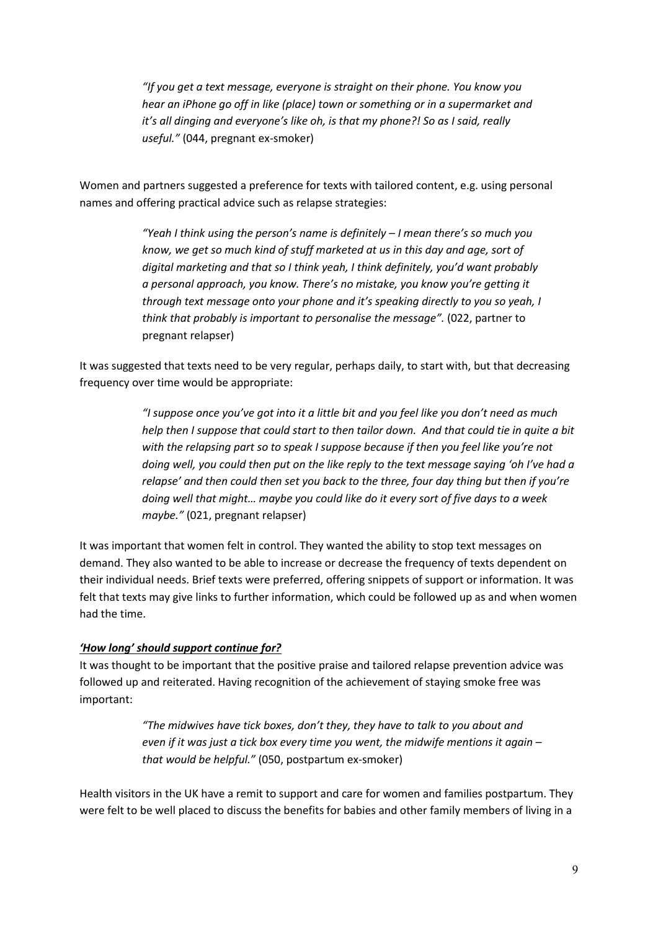*"If you get a text message, everyone is straight on their phone. You know you hear an iPhone go off in like (place) town or something or in a supermarket and it's all dinging and everyone's like oh, is that my phone?! So as I said, really useful."* (044, pregnant ex-smoker)

Women and partners suggested a preference for texts with tailored content, e.g. using personal names and offering practical advice such as relapse strategies:

> *"Yeah I think using the person's name is definitely – I mean there's so much you know, we get so much kind of stuff marketed at us in this day and age, sort of digital marketing and that so I think yeah, I think definitely, you'd want probably a personal approach, you know. There's no mistake, you know you're getting it through text message onto your phone and it's speaking directly to you so yeah, I think that probably is important to personalise the message".* (022, partner to pregnant relapser)

It was suggested that texts need to be very regular, perhaps daily, to start with, but that decreasing frequency over time would be appropriate:

> *"I suppose once you've got into it a little bit and you feel like you don't need as much help then I suppose that could start to then tailor down. And that could tie in quite a bit with the relapsing part so to speak I suppose because if then you feel like you're not doing well, you could then put on the like reply to the text message saying 'oh I've had a relapse' and then could then set you back to the three, four day thing but then if you're doing well that might… maybe you could like do it every sort of five days to a week maybe."* (021, pregnant relapser)

It was important that women felt in control. They wanted the ability to stop text messages on demand. They also wanted to be able to increase or decrease the frequency of texts dependent on their individual needs. Brief texts were preferred, offering snippets of support or information. It was felt that texts may give links to further information, which could be followed up as and when women had the time.

## *'How long' should support continue for?*

It was thought to be important that the positive praise and tailored relapse prevention advice was followed up and reiterated. Having recognition of the achievement of staying smoke free was important:

> *"The midwives have tick boxes, don't they, they have to talk to you about and even if it was just a tick box every time you went, the midwife mentions it again – that would be helpful."* (050, postpartum ex-smoker)

Health visitors in the UK have a remit to support and care for women and families postpartum. They were felt to be well placed to discuss the benefits for babies and other family members of living in a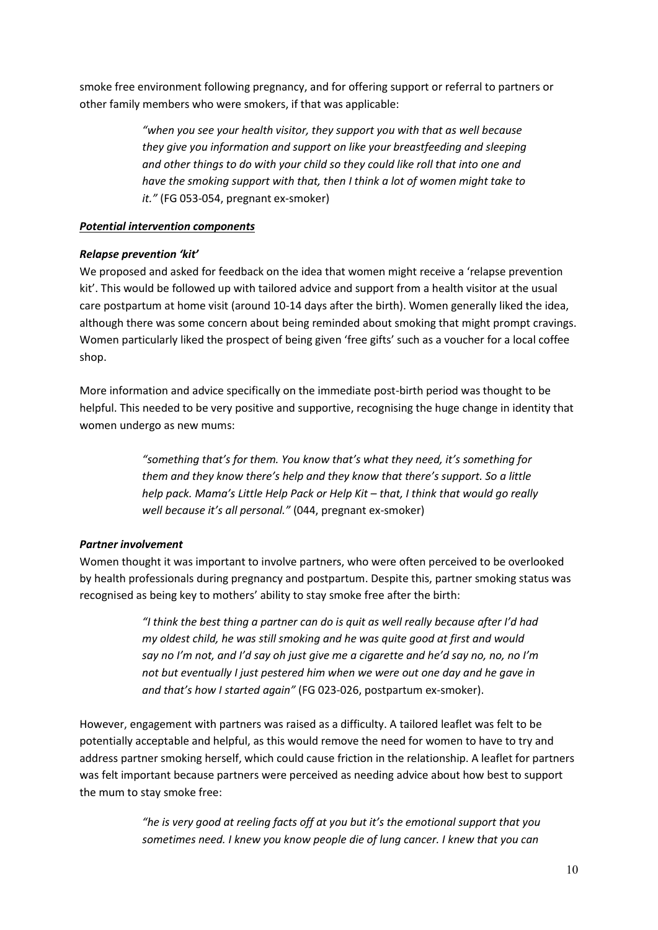smoke free environment following pregnancy, and for offering support or referral to partners or other family members who were smokers, if that was applicable:

> *"when you see your health visitor, they support you with that as well because they give you information and support on like your breastfeeding and sleeping and other things to do with your child so they could like roll that into one and have the smoking support with that, then I think a lot of women might take to it."* (FG 053-054, pregnant ex-smoker)

# *Potential intervention components*

# *Relapse prevention 'kit'*

We proposed and asked for feedback on the idea that women might receive a 'relapse prevention kit'. This would be followed up with tailored advice and support from a health visitor at the usual care postpartum at home visit (around 10-14 days after the birth). Women generally liked the idea, although there was some concern about being reminded about smoking that might prompt cravings. Women particularly liked the prospect of being given 'free gifts' such as a voucher for a local coffee shop.

More information and advice specifically on the immediate post-birth period was thought to be helpful. This needed to be very positive and supportive, recognising the huge change in identity that women undergo as new mums:

> *"something that's for them. You know that's what they need, it's something for them and they know there's help and they know that there's support. So a little help pack. Mama's Little Help Pack or Help Kit – that, I think that would go really well because it's all personal."* (044, pregnant ex-smoker)

# *Partner involvement*

Women thought it was important to involve partners, who were often perceived to be overlooked by health professionals during pregnancy and postpartum. Despite this, partner smoking status was recognised as being key to mothers' ability to stay smoke free after the birth:

> *"I think the best thing a partner can do is quit as well really because after I'd had my oldest child, he was still smoking and he was quite good at first and would say no I'm not, and I'd say oh just give me a cigarette and he'd say no, no, no I'm not but eventually I just pestered him when we were out one day and he gave in and that's how I started again"* (FG 023-026, postpartum ex-smoker).

However, engagement with partners was raised as a difficulty. A tailored leaflet was felt to be potentially acceptable and helpful, as this would remove the need for women to have to try and address partner smoking herself, which could cause friction in the relationship. A leaflet for partners was felt important because partners were perceived as needing advice about how best to support the mum to stay smoke free:

> *"he is very good at reeling facts off at you but it's the emotional support that you sometimes need. I knew you know people die of lung cancer. I knew that you can*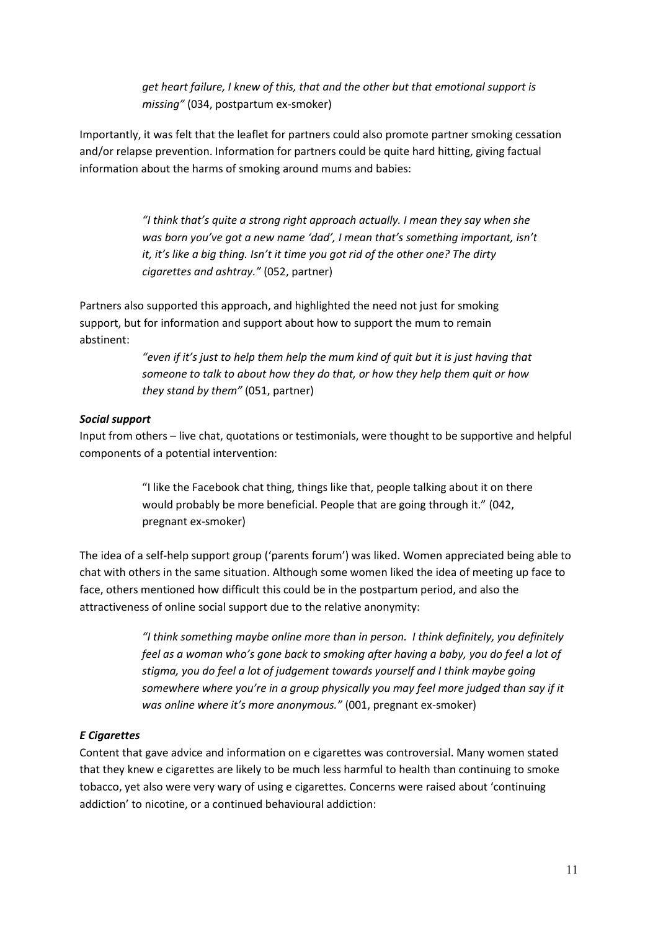*get heart failure, I knew of this, that and the other but that emotional support is missing"* (034, postpartum ex-smoker)

Importantly, it was felt that the leaflet for partners could also promote partner smoking cessation and/or relapse prevention. Information for partners could be quite hard hitting, giving factual information about the harms of smoking around mums and babies:

> *"I think that's quite a strong right approach actually. I mean they say when she was born you've got a new name 'dad', I mean that's something important, isn't it, it's like a big thing. Isn't it time you got rid of the other one? The dirty cigarettes and ashtray."* (052, partner)

Partners also supported this approach, and highlighted the need not just for smoking support, but for information and support about how to support the mum to remain abstinent:

> *"even if it's just to help them help the mum kind of quit but it is just having that someone to talk to about how they do that, or how they help them quit or how they stand by them"* (051, partner)

## *Social support*

Input from others – live chat, quotations or testimonials, were thought to be supportive and helpful components of a potential intervention:

> "I like the Facebook chat thing, things like that, people talking about it on there would probably be more beneficial. People that are going through it." (042, pregnant ex-smoker)

The idea of a self-help support group ('parents forum') was liked. Women appreciated being able to chat with others in the same situation. Although some women liked the idea of meeting up face to face, others mentioned how difficult this could be in the postpartum period, and also the attractiveness of online social support due to the relative anonymity:

> *"I think something maybe online more than in person. I think definitely, you definitely feel as a woman who's gone back to smoking after having a baby, you do feel a lot of stigma, you do feel a lot of judgement towards yourself and I think maybe going somewhere where you're in a group physically you may feel more judged than say if it was online where it's more anonymous."* (001, pregnant ex-smoker)

## *E Cigarettes*

Content that gave advice and information on e cigarettes was controversial. Many women stated that they knew e cigarettes are likely to be much less harmful to health than continuing to smoke tobacco, yet also were very wary of using e cigarettes. Concerns were raised about 'continuing addiction' to nicotine, or a continued behavioural addiction: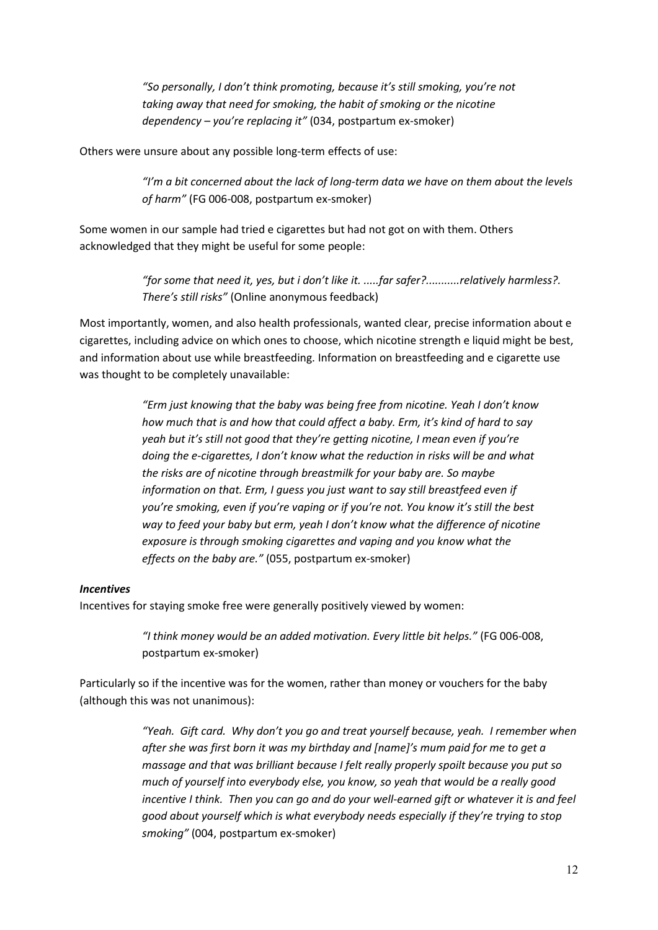*"So personally, I don't think promoting, because it's still smoking, you're not taking away that need for smoking, the habit of smoking or the nicotine dependency – you're replacing it"* (034, postpartum ex-smoker)

Others were unsure about any possible long-term effects of use:

*"I'm a bit concerned about the lack of long-term data we have on them about the levels of harm"* (FG 006-008, postpartum ex-smoker)

Some women in our sample had tried e cigarettes but had not got on with them. Others acknowledged that they might be useful for some people:

> *"for some that need it, yes, but i don't like it. .....far safer?...........relatively harmless?. There's still risks"* (Online anonymous feedback)

Most importantly, women, and also health professionals, wanted clear, precise information about e cigarettes, including advice on which ones to choose, which nicotine strength e liquid might be best, and information about use while breastfeeding. Information on breastfeeding and e cigarette use was thought to be completely unavailable:

> *"Erm just knowing that the baby was being free from nicotine. Yeah I don't know how much that is and how that could affect a baby. Erm, it's kind of hard to say yeah but it's still not good that they're getting nicotine, I mean even if you're doing the e-cigarettes, I don't know what the reduction in risks will be and what the risks are of nicotine through breastmilk for your baby are. So maybe information on that. Erm, I guess you just want to say still breastfeed even if you're smoking, even if you're vaping or if you're not. You know it's still the best way to feed your baby but erm, yeah I don't know what the difference of nicotine exposure is through smoking cigarettes and vaping and you know what the effects on the baby are."* (055, postpartum ex-smoker)

## *Incentives*

Incentives for staying smoke free were generally positively viewed by women:

*"I think money would be an added motivation. Every little bit helps."* (FG 006-008, postpartum ex-smoker)

Particularly so if the incentive was for the women, rather than money or vouchers for the baby (although this was not unanimous):

> *"Yeah. Gift card. Why don't you go and treat yourself because, yeah. I remember when after she was first born it was my birthday and [name]'s mum paid for me to get a massage and that was brilliant because I felt really properly spoilt because you put so much of yourself into everybody else, you know, so yeah that would be a really good incentive I think. Then you can go and do your well-earned gift or whatever it is and feel good about yourself which is what everybody needs especially if they're trying to stop smoking"* (004, postpartum ex-smoker)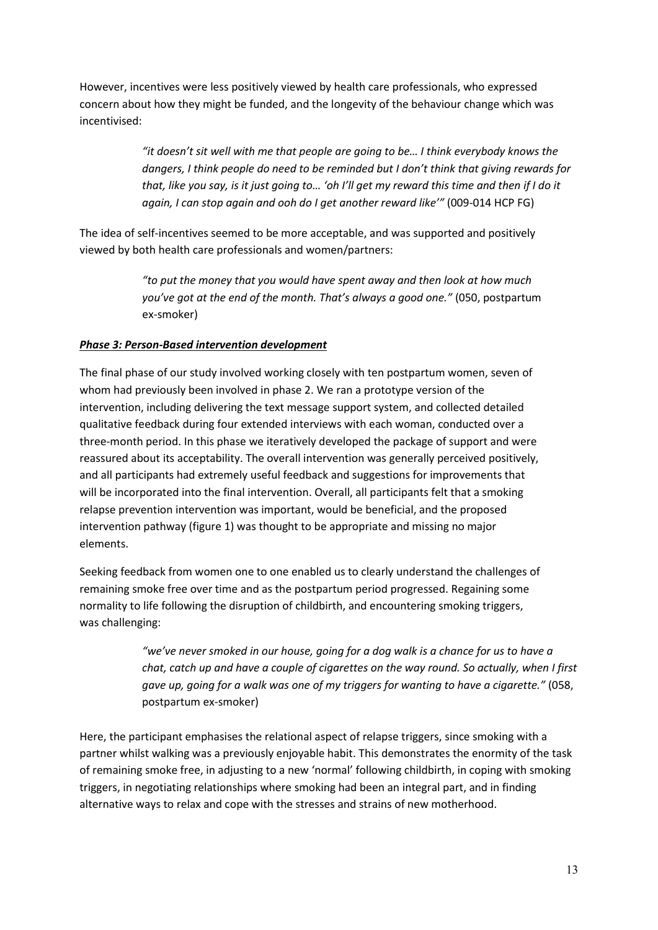However, incentives were less positively viewed by health care professionals, who expressed concern about how they might be funded, and the longevity of the behaviour change which was incentivised:

> *"it doesn't sit well with me that people are going to be… I think everybody knows the dangers, I think people do need to be reminded but I don't think that giving rewards for that, like you say, is it just going to… 'oh I'll get my reward this time and then if I do it again, I can stop again and ooh do I get another reward like'"* (009-014 HCP FG)

The idea of self-incentives seemed to be more acceptable, and was supported and positively viewed by both health care professionals and women/partners:

> *"to put the money that you would have spent away and then look at how much you've got at the end of the month. That's always a good one."* (050, postpartum ex-smoker)

# *Phase 3: Person-Based intervention development*

The final phase of our study involved working closely with ten postpartum women, seven of whom had previously been involved in phase 2. We ran a prototype version of the intervention, including delivering the text message support system, and collected detailed qualitative feedback during four extended interviews with each woman, conducted over a three-month period. In this phase we iteratively developed the package of support and were reassured about its acceptability. The overall intervention was generally perceived positively, and all participants had extremely useful feedback and suggestions for improvements that will be incorporated into the final intervention. Overall, all participants felt that a smoking relapse prevention intervention was important, would be beneficial, and the proposed intervention pathway (figure 1) was thought to be appropriate and missing no major elements.

Seeking feedback from women one to one enabled us to clearly understand the challenges of remaining smoke free over time and as the postpartum period progressed. Regaining some normality to life following the disruption of childbirth, and encountering smoking triggers, was challenging:

> *"we've never smoked in our house, going for a dog walk is a chance for us to have a chat, catch up and have a couple of cigarettes on the way round. So actually, when I first gave up, going for a walk was one of my triggers for wanting to have a cigarette."* (058, postpartum ex-smoker)

Here, the participant emphasises the relational aspect of relapse triggers, since smoking with a partner whilst walking was a previously enjoyable habit. This demonstrates the enormity of the task of remaining smoke free, in adjusting to a new 'normal' following childbirth, in coping with smoking triggers, in negotiating relationships where smoking had been an integral part, and in finding alternative ways to relax and cope with the stresses and strains of new motherhood.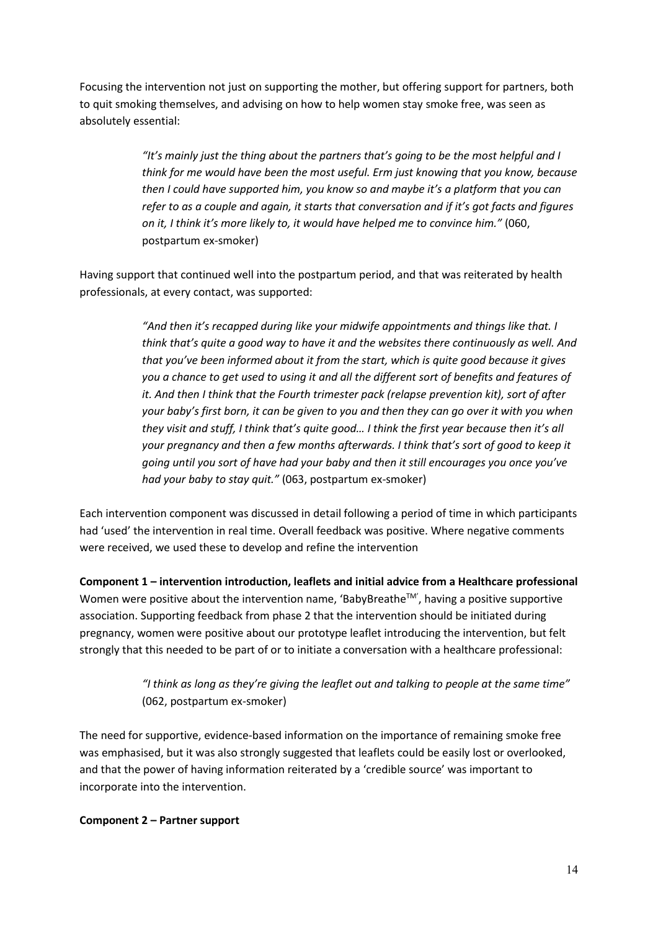Focusing the intervention not just on supporting the mother, but offering support for partners, both to quit smoking themselves, and advising on how to help women stay smoke free, was seen as absolutely essential:

> *"It's mainly just the thing about the partners that's going to be the most helpful and I think for me would have been the most useful. Erm just knowing that you know, because then I could have supported him, you know so and maybe it's a platform that you can refer to as a couple and again, it starts that conversation and if it's got facts and figures on it, I think it's more likely to, it would have helped me to convince him."* (060, postpartum ex-smoker)

Having support that continued well into the postpartum period, and that was reiterated by health professionals, at every contact, was supported:

> *"And then it's recapped during like your midwife appointments and things like that. I think that's quite a good way to have it and the websites there continuously as well. And that you've been informed about it from the start, which is quite good because it gives you a chance to get used to using it and all the different sort of benefits and features of it. And then I think that the Fourth trimester pack (relapse prevention kit), sort of after your baby's first born, it can be given to you and then they can go over it with you when they visit and stuff, I think that's quite good… I think the first year because then it's all your pregnancy and then a few months afterwards. I think that's sort of good to keep it going until you sort of have had your baby and then it still encourages you once you've had your baby to stay quit."* (063, postpartum ex-smoker)

Each intervention component was discussed in detail following a period of time in which participants had 'used' the intervention in real time. Overall feedback was positive. Where negative comments were received, we used these to develop and refine the intervention

**Component 1 – intervention introduction, leaflets and initial advice from a Healthcare professional** Women were positive about the intervention name, 'BabyBreathe™', having a positive supportive association. Supporting feedback from phase 2 that the intervention should be initiated during pregnancy, women were positive about our prototype leaflet introducing the intervention, but felt strongly that this needed to be part of or to initiate a conversation with a healthcare professional:

> *"I think as long as they're giving the leaflet out and talking to people at the same time"* (062, postpartum ex-smoker)

The need for supportive, evidence-based information on the importance of remaining smoke free was emphasised, but it was also strongly suggested that leaflets could be easily lost or overlooked, and that the power of having information reiterated by a 'credible source' was important to incorporate into the intervention.

## **Component 2 – Partner support**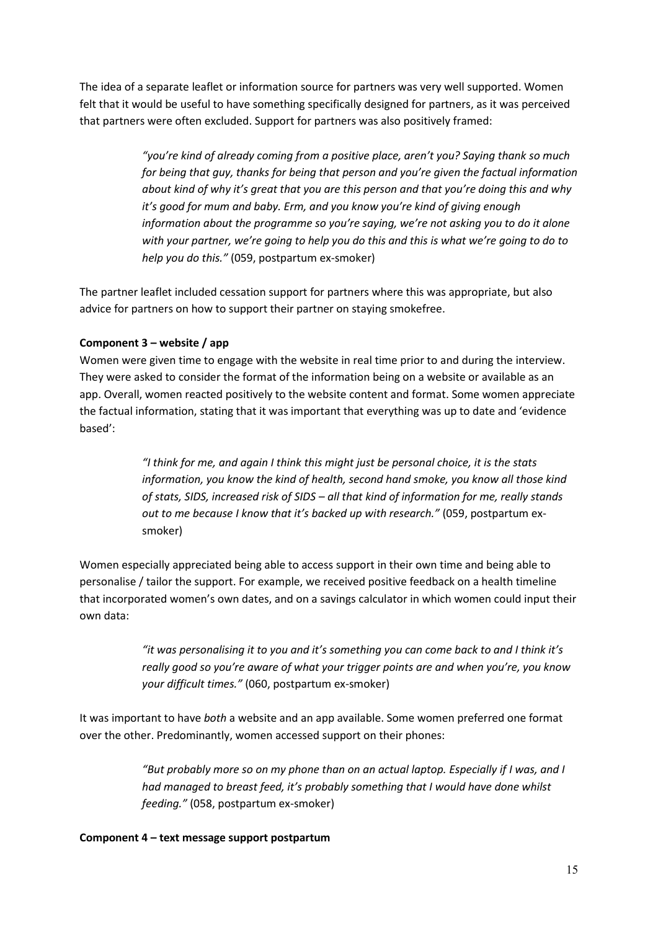The idea of a separate leaflet or information source for partners was very well supported. Women felt that it would be useful to have something specifically designed for partners, as it was perceived that partners were often excluded. Support for partners was also positively framed:

> *"you're kind of already coming from a positive place, aren't you? Saying thank so much for being that guy, thanks for being that person and you're given the factual information about kind of why it's great that you are this person and that you're doing this and why it's good for mum and baby. Erm, and you know you're kind of giving enough information about the programme so you're saying, we're not asking you to do it alone with your partner, we're going to help you do this and this is what we're going to do to help you do this."* (059, postpartum ex-smoker)

The partner leaflet included cessation support for partners where this was appropriate, but also advice for partners on how to support their partner on staying smokefree.

# **Component 3 – website / app**

Women were given time to engage with the website in real time prior to and during the interview. They were asked to consider the format of the information being on a website or available as an app. Overall, women reacted positively to the website content and format. Some women appreciate the factual information, stating that it was important that everything was up to date and 'evidence based':

> *"I think for me, and again I think this might just be personal choice, it is the stats information, you know the kind of health, second hand smoke, you know all those kind of stats, SIDS, increased risk of SIDS – all that kind of information for me, really stands out to me because I know that it's backed up with research."* (059, postpartum exsmoker)

Women especially appreciated being able to access support in their own time and being able to personalise / tailor the support. For example, we received positive feedback on a health timeline that incorporated women's own dates, and on a savings calculator in which women could input their own data:

> *"it was personalising it to you and it's something you can come back to and I think it's really good so you're aware of what your trigger points are and when you're, you know your difficult times."* (060, postpartum ex-smoker)

It was important to have *both* a website and an app available. Some women preferred one format over the other. Predominantly, women accessed support on their phones:

> *"But probably more so on my phone than on an actual laptop. Especially if I was, and I had managed to breast feed, it's probably something that I would have done whilst feeding."* (058, postpartum ex-smoker)

## **Component 4 – text message support postpartum**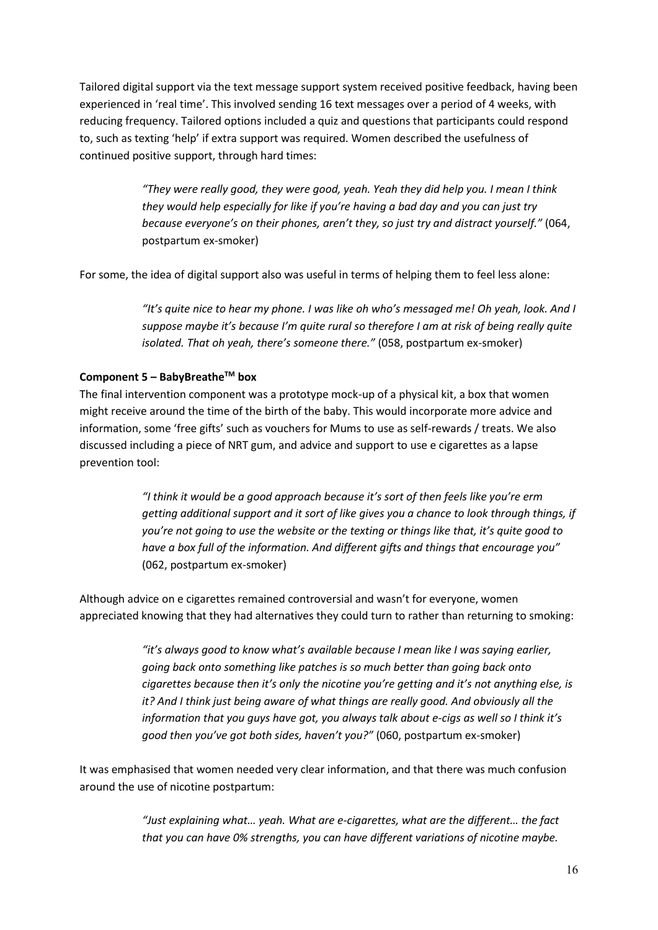Tailored digital support via the text message support system received positive feedback, having been experienced in 'real time'. This involved sending 16 text messages over a period of 4 weeks, with reducing frequency. Tailored options included a quiz and questions that participants could respond to, such as texting 'help' if extra support was required. Women described the usefulness of continued positive support, through hard times:

> *"They were really good, they were good, yeah. Yeah they did help you. I mean I think they would help especially for like if you're having a bad day and you can just try because everyone's on their phones, aren't they, so just try and distract yourself."* (064, postpartum ex-smoker)

For some, the idea of digital support also was useful in terms of helping them to feel less alone:

*"It's quite nice to hear my phone. I was like oh who's messaged me! Oh yeah, look. And I suppose maybe it's because I'm quite rural so therefore I am at risk of being really quite isolated. That oh yeah, there's someone there."* (058, postpartum ex-smoker)

## **Component 5 – BabyBreatheTM box**

The final intervention component was a prototype mock-up of a physical kit, a box that women might receive around the time of the birth of the baby. This would incorporate more advice and information, some 'free gifts' such as vouchers for Mums to use as self-rewards / treats. We also discussed including a piece of NRT gum, and advice and support to use e cigarettes as a lapse prevention tool:

> *"I think it would be a good approach because it's sort of then feels like you're erm getting additional support and it sort of like gives you a chance to look through things, if you're not going to use the website or the texting or things like that, it's quite good to have a box full of the information. And different gifts and things that encourage you"* (062, postpartum ex-smoker)

Although advice on e cigarettes remained controversial and wasn't for everyone, women appreciated knowing that they had alternatives they could turn to rather than returning to smoking:

> *"it's always good to know what's available because I mean like I was saying earlier, going back onto something like patches is so much better than going back onto cigarettes because then it's only the nicotine you're getting and it's not anything else, is it? And I think just being aware of what things are really good. And obviously all the information that you guys have got, you always talk about e-cigs as well so I think it's good then you've got both sides, haven't you?"* (060, postpartum ex-smoker)

It was emphasised that women needed very clear information, and that there was much confusion around the use of nicotine postpartum:

> *"Just explaining what… yeah. What are e-cigarettes, what are the different… the fact that you can have 0% strengths, you can have different variations of nicotine maybe.*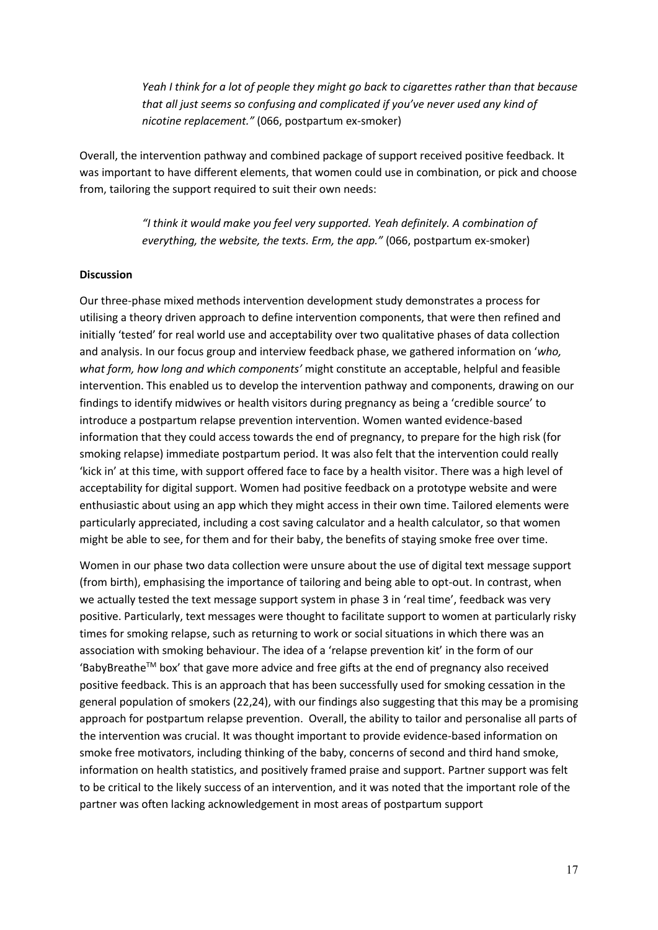*Yeah I think for a lot of people they might go back to cigarettes rather than that because that all just seems so confusing and complicated if you've never used any kind of nicotine replacement."* (066, postpartum ex-smoker)

Overall, the intervention pathway and combined package of support received positive feedback. It was important to have different elements, that women could use in combination, or pick and choose from, tailoring the support required to suit their own needs:

> *"I think it would make you feel very supported. Yeah definitely. A combination of everything, the website, the texts. Erm, the app."* (066, postpartum ex-smoker)

#### **Discussion**

Our three-phase mixed methods intervention development study demonstrates a process for utilising a theory driven approach to define intervention components, that were then refined and initially 'tested' for real world use and acceptability over two qualitative phases of data collection and analysis. In our focus group and interview feedback phase, we gathered information on '*who, what form, how long and which components'* might constitute an acceptable, helpful and feasible intervention. This enabled us to develop the intervention pathway and components, drawing on our findings to identify midwives or health visitors during pregnancy as being a 'credible source' to introduce a postpartum relapse prevention intervention. Women wanted evidence-based information that they could access towards the end of pregnancy, to prepare for the high risk (for smoking relapse) immediate postpartum period. It was also felt that the intervention could really 'kick in' at this time, with support offered face to face by a health visitor. There was a high level of acceptability for digital support. Women had positive feedback on a prototype website and were enthusiastic about using an app which they might access in their own time. Tailored elements were particularly appreciated, including a cost saving calculator and a health calculator, so that women might be able to see, for them and for their baby, the benefits of staying smoke free over time.

Women in our phase two data collection were unsure about the use of digital text message support (from birth), emphasising the importance of tailoring and being able to opt-out. In contrast, when we actually tested the text message support system in phase 3 in 'real time', feedback was very positive. Particularly, text messages were thought to facilitate support to women at particularly risky times for smoking relapse, such as returning to work or social situations in which there was an association with smoking behaviour. The idea of a 'relapse prevention kit' in the form of our 'BabyBreathe™ box' that gave more advice and free gifts at the end of pregnancy also received positive feedback. This is an approach that has been successfully used for smoking cessation in the general population of smokers (22,24), with our findings also suggesting that this may be a promising approach for postpartum relapse prevention. Overall, the ability to tailor and personalise all parts of the intervention was crucial. It was thought important to provide evidence-based information on smoke free motivators, including thinking of the baby, concerns of second and third hand smoke, information on health statistics, and positively framed praise and support. Partner support was felt to be critical to the likely success of an intervention, and it was noted that the important role of the partner was often lacking acknowledgement in most areas of postpartum support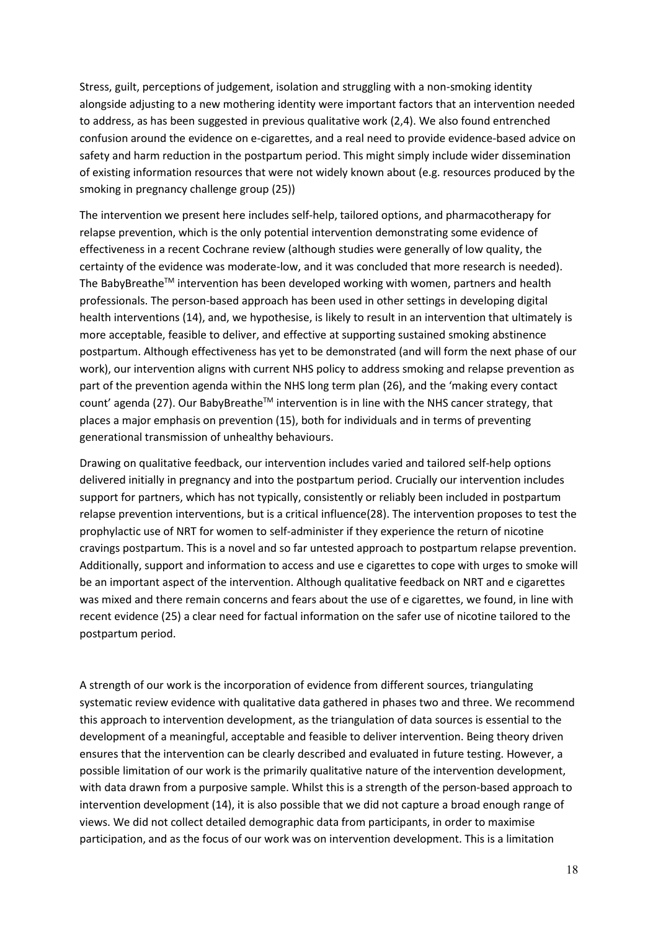Stress, guilt, perceptions of judgement, isolation and struggling with a non-smoking identity alongside adjusting to a new mothering identity were important factors that an intervention needed to address, as has been suggested in previous qualitative work (2,4). We also found entrenched confusion around the evidence on e-cigarettes, and a real need to provide evidence-based advice on safety and harm reduction in the postpartum period. This might simply include wider dissemination of existing information resources that were not widely known about (e.g. resources produced by the smoking in pregnancy challenge group (25))

The intervention we present here includes self-help, tailored options, and pharmacotherapy for relapse prevention, which is the only potential intervention demonstrating some evidence of effectiveness in a recent Cochrane review (although studies were generally of low quality, the certainty of the evidence was moderate-low, and it was concluded that more research is needed). The BabyBreathe™ intervention has been developed working with women, partners and health professionals. The person-based approach has been used in other settings in developing digital health interventions (14), and, we hypothesise, is likely to result in an intervention that ultimately is more acceptable, feasible to deliver, and effective at supporting sustained smoking abstinence postpartum. Although effectiveness has yet to be demonstrated (and will form the next phase of our work), our intervention aligns with current NHS policy to address smoking and relapse prevention as part of the prevention agenda within the NHS long term plan (26), and the 'making every contact count' agenda (27). Our BabyBreathe<sup>TM</sup> intervention is in line with the NHS cancer strategy, that places a major emphasis on prevention (15), both for individuals and in terms of preventing generational transmission of unhealthy behaviours.

Drawing on qualitative feedback, our intervention includes varied and tailored self-help options delivered initially in pregnancy and into the postpartum period. Crucially our intervention includes support for partners, which has not typically, consistently or reliably been included in postpartum relapse prevention interventions, but is a critical influence(28). The intervention proposes to test the prophylactic use of NRT for women to self-administer if they experience the return of nicotine cravings postpartum. This is a novel and so far untested approach to postpartum relapse prevention. Additionally, support and information to access and use e cigarettes to cope with urges to smoke will be an important aspect of the intervention. Although qualitative feedback on NRT and e cigarettes was mixed and there remain concerns and fears about the use of e cigarettes, we found, in line with recent evidence (25) a clear need for factual information on the safer use of nicotine tailored to the postpartum period.

A strength of our work is the incorporation of evidence from different sources, triangulating systematic review evidence with qualitative data gathered in phases two and three. We recommend this approach to intervention development, as the triangulation of data sources is essential to the development of a meaningful, acceptable and feasible to deliver intervention. Being theory driven ensures that the intervention can be clearly described and evaluated in future testing. However, a possible limitation of our work is the primarily qualitative nature of the intervention development, with data drawn from a purposive sample. Whilst this is a strength of the person-based approach to intervention development (14), it is also possible that we did not capture a broad enough range of views. We did not collect detailed demographic data from participants, in order to maximise participation, and as the focus of our work was on intervention development. This is a limitation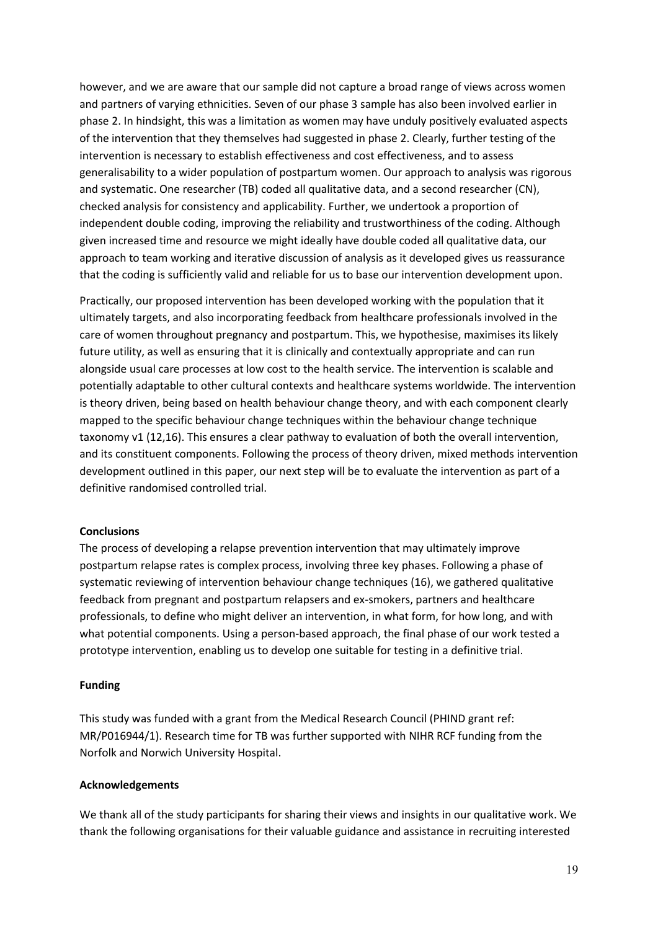however, and we are aware that our sample did not capture a broad range of views across women and partners of varying ethnicities. Seven of our phase 3 sample has also been involved earlier in phase 2. In hindsight, this was a limitation as women may have unduly positively evaluated aspects of the intervention that they themselves had suggested in phase 2. Clearly, further testing of the intervention is necessary to establish effectiveness and cost effectiveness, and to assess generalisability to a wider population of postpartum women. Our approach to analysis was rigorous and systematic. One researcher (TB) coded all qualitative data, and a second researcher (CN), checked analysis for consistency and applicability. Further, we undertook a proportion of independent double coding, improving the reliability and trustworthiness of the coding. Although given increased time and resource we might ideally have double coded all qualitative data, our approach to team working and iterative discussion of analysis as it developed gives us reassurance that the coding is sufficiently valid and reliable for us to base our intervention development upon.

Practically, our proposed intervention has been developed working with the population that it ultimately targets, and also incorporating feedback from healthcare professionals involved in the care of women throughout pregnancy and postpartum. This, we hypothesise, maximises its likely future utility, as well as ensuring that it is clinically and contextually appropriate and can run alongside usual care processes at low cost to the health service. The intervention is scalable and potentially adaptable to other cultural contexts and healthcare systems worldwide. The intervention is theory driven, being based on health behaviour change theory, and with each component clearly mapped to the specific behaviour change techniques within the behaviour change technique taxonomy v1 (12,16). This ensures a clear pathway to evaluation of both the overall intervention, and its constituent components. Following the process of theory driven, mixed methods intervention development outlined in this paper, our next step will be to evaluate the intervention as part of a definitive randomised controlled trial.

## **Conclusions**

The process of developing a relapse prevention intervention that may ultimately improve postpartum relapse rates is complex process, involving three key phases. Following a phase of systematic reviewing of intervention behaviour change techniques (16), we gathered qualitative feedback from pregnant and postpartum relapsers and ex-smokers, partners and healthcare professionals, to define who might deliver an intervention, in what form, for how long, and with what potential components. Using a person-based approach, the final phase of our work tested a prototype intervention, enabling us to develop one suitable for testing in a definitive trial.

#### **Funding**

This study was funded with a grant from the Medical Research Council (PHIND grant ref: MR/P016944/1). Research time for TB was further supported with NIHR RCF funding from the Norfolk and Norwich University Hospital.

#### **Acknowledgements**

We thank all of the study participants for sharing their views and insights in our qualitative work. We thank the following organisations for their valuable guidance and assistance in recruiting interested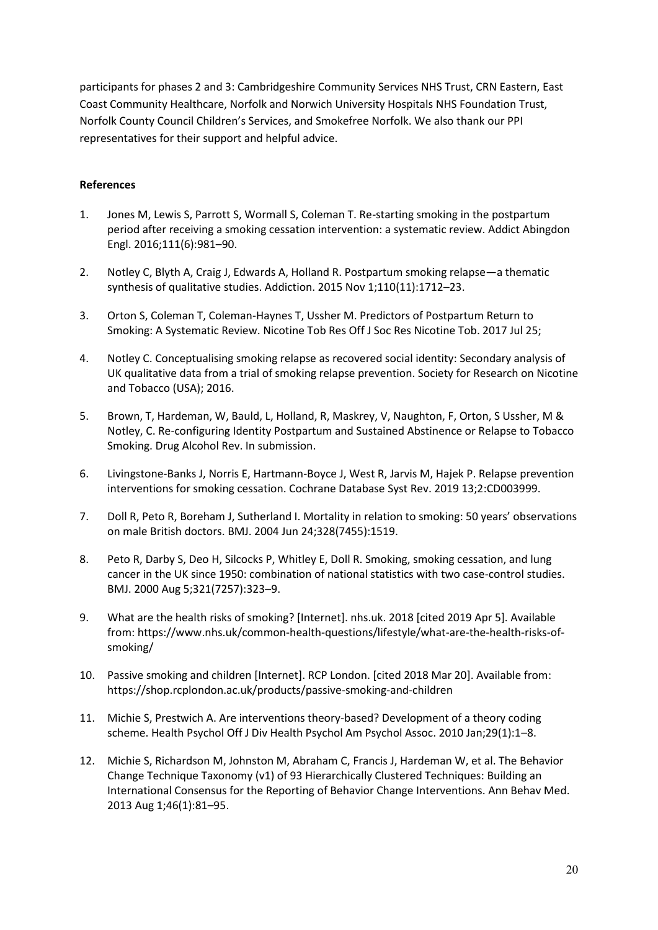participants for phases 2 and 3: Cambridgeshire Community Services NHS Trust, CRN Eastern, East Coast Community Healthcare, Norfolk and Norwich University Hospitals NHS Foundation Trust, Norfolk County Council Children's Services, and Smokefree Norfolk. We also thank our PPI representatives for their support and helpful advice.

# **References**

- 1. Jones M, Lewis S, Parrott S, Wormall S, Coleman T. Re-starting smoking in the postpartum period after receiving a smoking cessation intervention: a systematic review. Addict Abingdon Engl. 2016;111(6):981–90.
- 2. Notley C, Blyth A, Craig J, Edwards A, Holland R. Postpartum smoking relapse—a thematic synthesis of qualitative studies. Addiction. 2015 Nov 1;110(11):1712–23.
- 3. Orton S, Coleman T, Coleman-Haynes T, Ussher M. Predictors of Postpartum Return to Smoking: A Systematic Review. Nicotine Tob Res Off J Soc Res Nicotine Tob. 2017 Jul 25;
- 4. Notley C. Conceptualising smoking relapse as recovered social identity: Secondary analysis of UK qualitative data from a trial of smoking relapse prevention. Society for Research on Nicotine and Tobacco (USA); 2016.
- 5. Brown, T, Hardeman, W, Bauld, L, Holland, R, Maskrey, V, Naughton, F, Orton, S Ussher, M & Notley, C. Re-configuring Identity Postpartum and Sustained Abstinence or Relapse to Tobacco Smoking. Drug Alcohol Rev. In submission.
- 6. Livingstone-Banks J, Norris E, Hartmann-Boyce J, West R, Jarvis M, Hajek P. Relapse prevention interventions for smoking cessation. Cochrane Database Syst Rev. 2019 13;2:CD003999.
- 7. Doll R, Peto R, Boreham J, Sutherland I. Mortality in relation to smoking: 50 years' observations on male British doctors. BMJ. 2004 Jun 24;328(7455):1519.
- 8. Peto R, Darby S, Deo H, Silcocks P, Whitley E, Doll R. Smoking, smoking cessation, and lung cancer in the UK since 1950: combination of national statistics with two case-control studies. BMJ. 2000 Aug 5;321(7257):323–9.
- 9. What are the health risks of smoking? [Internet]. nhs.uk. 2018 [cited 2019 Apr 5]. Available from: https://www.nhs.uk/common-health-questions/lifestyle/what-are-the-health-risks-ofsmoking/
- 10. Passive smoking and children [Internet]. RCP London. [cited 2018 Mar 20]. Available from: https://shop.rcplondon.ac.uk/products/passive-smoking-and-children
- 11. Michie S, Prestwich A. Are interventions theory-based? Development of a theory coding scheme. Health Psychol Off J Div Health Psychol Am Psychol Assoc. 2010 Jan;29(1):1–8.
- 12. Michie S, Richardson M, Johnston M, Abraham C, Francis J, Hardeman W, et al. The Behavior Change Technique Taxonomy (v1) of 93 Hierarchically Clustered Techniques: Building an International Consensus for the Reporting of Behavior Change Interventions. Ann Behav Med. 2013 Aug 1;46(1):81–95.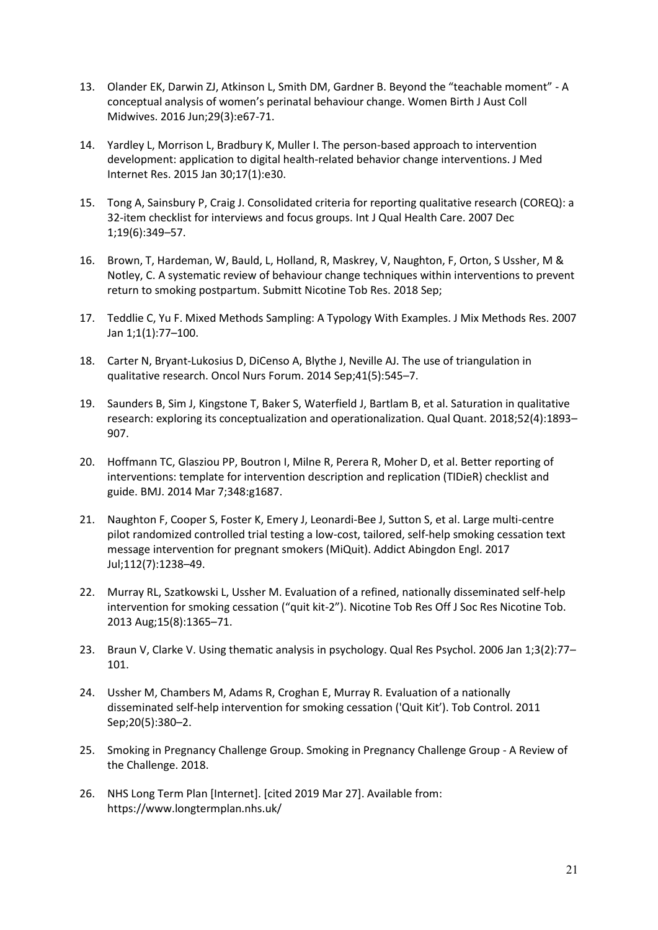- 13. Olander EK, Darwin ZJ, Atkinson L, Smith DM, Gardner B. Beyond the "teachable moment" A conceptual analysis of women's perinatal behaviour change. Women Birth J Aust Coll Midwives. 2016 Jun;29(3):e67-71.
- 14. Yardley L, Morrison L, Bradbury K, Muller I. The person-based approach to intervention development: application to digital health-related behavior change interventions. J Med Internet Res. 2015 Jan 30;17(1):e30.
- 15. Tong A, Sainsbury P, Craig J. Consolidated criteria for reporting qualitative research (COREQ): a 32-item checklist for interviews and focus groups. Int J Qual Health Care. 2007 Dec 1;19(6):349–57.
- 16. Brown, T, Hardeman, W, Bauld, L, Holland, R, Maskrey, V, Naughton, F, Orton, S Ussher, M & Notley, C. A systematic review of behaviour change techniques within interventions to prevent return to smoking postpartum. Submitt Nicotine Tob Res. 2018 Sep;
- 17. Teddlie C, Yu F. Mixed Methods Sampling: A Typology With Examples. J Mix Methods Res. 2007 Jan 1;1(1):77–100.
- 18. Carter N, Bryant-Lukosius D, DiCenso A, Blythe J, Neville AJ. The use of triangulation in qualitative research. Oncol Nurs Forum. 2014 Sep;41(5):545–7.
- 19. Saunders B, Sim J, Kingstone T, Baker S, Waterfield J, Bartlam B, et al. Saturation in qualitative research: exploring its conceptualization and operationalization. Qual Quant. 2018;52(4):1893– 907.
- 20. Hoffmann TC, Glasziou PP, Boutron I, Milne R, Perera R, Moher D, et al. Better reporting of interventions: template for intervention description and replication (TIDieR) checklist and guide. BMJ. 2014 Mar 7;348:g1687.
- 21. Naughton F, Cooper S, Foster K, Emery J, Leonardi-Bee J, Sutton S, et al. Large multi-centre pilot randomized controlled trial testing a low-cost, tailored, self-help smoking cessation text message intervention for pregnant smokers (MiQuit). Addict Abingdon Engl. 2017 Jul;112(7):1238–49.
- 22. Murray RL, Szatkowski L, Ussher M. Evaluation of a refined, nationally disseminated self-help intervention for smoking cessation ("quit kit-2"). Nicotine Tob Res Off J Soc Res Nicotine Tob. 2013 Aug;15(8):1365–71.
- 23. Braun V, Clarke V. Using thematic analysis in psychology. Qual Res Psychol. 2006 Jan 1;3(2):77– 101.
- 24. Ussher M, Chambers M, Adams R, Croghan E, Murray R. Evaluation of a nationally disseminated self-help intervention for smoking cessation ('Quit Kit'). Tob Control. 2011 Sep;20(5):380–2.
- 25. Smoking in Pregnancy Challenge Group. Smoking in Pregnancy Challenge Group A Review of the Challenge. 2018.
- 26. NHS Long Term Plan [Internet]. [cited 2019 Mar 27]. Available from: https://www.longtermplan.nhs.uk/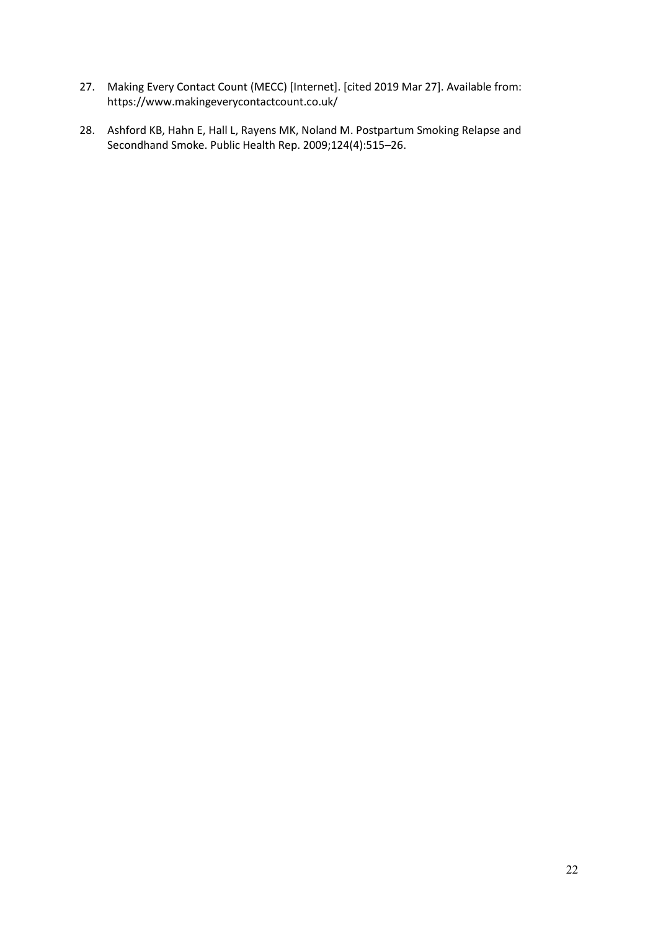- 27. Making Every Contact Count (MECC) [Internet]. [cited 2019 Mar 27]. Available from: https://www.makingeverycontactcount.co.uk/
- 28. Ashford KB, Hahn E, Hall L, Rayens MK, Noland M. Postpartum Smoking Relapse and Secondhand Smoke. Public Health Rep. 2009;124(4):515–26.